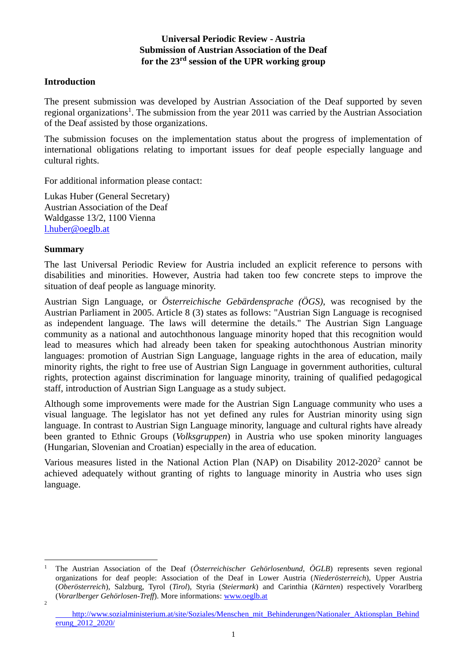### **Universal Periodic Review - Austria Submission of Austrian Association of the Deaf for the 23rd session of the UPR working group**

#### **Introduction**

The present submission was developed by Austrian Association of the Deaf supported by seven regional organizations<sup>1</sup>. The submission from the year 2011 was carried by the Austrian Association of the Deaf assisted by those organizations.

The submission focuses on the implementation status about the progress of implementation of international obligations relating to important issues for deaf people especially language and cultural rights.

For additional information please contact:

Lukas Huber (General Secretary) Austrian Association of the Deaf Waldgasse 13/2, 1100 Vienna [l.huber@oeglb.at](mailto:l.huber@oeglb.at) 

### **Summary**

The last Universal Periodic Review for Austria included an explicit reference to persons with disabilities and minorities. However, Austria had taken too few concrete steps to improve the situation of deaf people as language minority.

Austrian Sign Language, or *Österreichische Gebärdensprache (ÖGS)*, was recognised by the Austrian Parliament in 2005. Article 8 (3) states as follows: "Austrian Sign Language is recognised as independent language. The laws will determine the details." The Austrian Sign Language community as a national and autochthonous language minority hoped that this recognition would lead to measures which had already been taken for speaking autochthonous Austrian minority languages: promotion of Austrian Sign Language, language rights in the area of education, maily minority rights, the right to free use of Austrian Sign Language in government authorities, cultural rights, protection against discrimination for language minority, training of qualified pedagogical staff, introduction of Austrian Sign Language as a study subject.

Although some improvements were made for the Austrian Sign Language community who uses a visual language. The legislator has not yet defined any rules for Austrian minority using sign language. In contrast to Austrian Sign Language minority, language and cultural rights have already been granted to Ethnic Groups (*Volksgruppen*) in Austria who use spoken minority languages (Hungarian, Slovenian and Croatian) especially in the area of education.

Various measures listed in the National Action Plan (NAP) on Disability  $2012-2020^2$  cannot be achieved adequately without granting of rights to language minority in Austria who uses sign language.

<sup>&</sup>lt;u>.</u> <sup>1</sup> The Austrian Association of the Deaf (*Österreichischer Gehörlosenbund, ÖGLB*) represents seven regional organizations for deaf people: Association of the Deaf in Lower Austria (*Niederösterreich*), Upper Austria (*Oberösterreich*), Salzburg, Tyrol (*Tirol*), Styria (*Steiermark*) and Carinthia (*Kärnten*) respectively Vorarlberg (*Vorarlberger Gehörlosen-Treff*). More informations[: www.oeglb.at](http://www.oeglb.at/) 2

[http://www.sozialministerium.at/site/Soziales/Menschen\\_mit\\_Behinderungen/Nationaler\\_Aktionsplan\\_Behind](http://www.sozialministerium.at/site/Soziales/Menschen_mit_Behinderungen/Nationaler_Aktionsplan_Behinderung_2012_2020/) erung 2012 2020/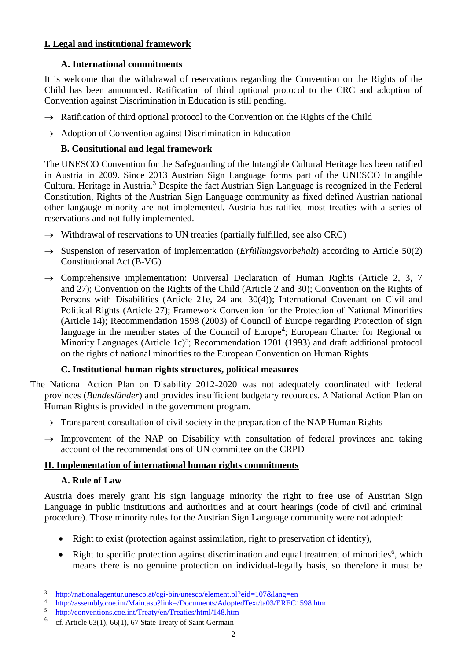## **I. Legal and institutional framework**

## **A. International commitments**

It is welcome that the withdrawal of reservations regarding the Convention on the Rights of the Child has been announced. Ratification of third optional protocol to the CRC and adoption of Convention against Discrimination in Education is still pending.

- $\rightarrow$  Ratification of third optional protocol to the Convention on the Rights of the Child
- $\rightarrow$  Adoption of Convention against Discrimination in Education

## **B. Consitutional and legal framework**

The UNESCO Convention for the Safeguarding of the Intangible Cultural Heritage has been ratified in Austria in 2009. Since 2013 Austrian Sign Language forms part of the UNESCO Intangible Cultural Heritage in Austria.<sup>3</sup> Despite the fact Austrian Sign Language is recognized in the Federal Constitution, Rights of the Austrian Sign Language community as fixed defined Austrian national other langauge minority are not implemented. Austria has ratified most treaties with a series of reservations and not fully implemented.

- $\rightarrow$  Withdrawal of reservations to UN treaties (partially fulfilled, see also CRC)
- $\rightarrow$  Suspension of reservation of implementation (*Erfüllungsvorbehalt*) according to Article 50(2) Constitutional Act (B-VG)
- $\rightarrow$  Comprehensive implementation: Universal Declaration of Human Rights (Article 2, 3, 7 and 27); Convention on the Rights of the Child (Article 2 and 30); Convention on the Rights of Persons with Disabilities (Article 21e, 24 and 30(4)); International Covenant on Civil and Political Rights (Article 27); Framework Convention for the Protection of National Minorities (Article 14); Recommendation 1598 (2003) of Council of Europe regarding Protection of sign language in the member states of the Council of Europe<sup>4</sup>; European Charter for Regional or Minority Languages (Article 1c)<sup>5</sup>; Recommendation 1201 (1993) and draft additional protocol on the rights of national minorities to the European Convention on Human Rights

# **C. Institutional human rights structures, political measures**

- The National Action Plan on Disability 2012-2020 was not adequately coordinated with federal provinces (*Bundesländer*) and provides insufficient budgetary recources. A National Action Plan on Human Rights is provided in the government program.
	- $\rightarrow$  Transparent consultation of civil society in the preparation of the NAP Human Rights
	- $\rightarrow$  Improvement of the NAP on Disability with consultation of federal provinces and taking account of the recommendations of UN committee on the CRPD

# **II. Implementation of international human rights commitments**

## **A. Rule of Law**

Austria does merely grant his sign language minority the right to free use of Austrian Sign Language in public institutions and authorities and at court hearings (code of civil and criminal procedure). Those minority rules for the Austrian Sign Language community were not adopted:

- Right to exist (protection against assimilation, right to preservation of identity).
- Right to specific protection against discrimination and equal treatment of minorities<sup>6</sup>, which means there is no genuine protection on individual-legally basis, so therefore it must be

<sup>&</sup>lt;u>.</u> <sup>3</sup> <http://nationalagentur.unesco.at/cgi-bin/unesco/element.pl?eid=107&lang=en>

<sup>4</sup> <http://assembly.coe.int/Main.asp?link=/Documents/AdoptedText/ta03/EREC1598.htm>

<sup>5</sup> <http://conventions.coe.int/Treaty/en/Treaties/html/148.htm>

<sup>6</sup> cf. Article 63(1), 66(1), 67 State Treaty of Saint Germain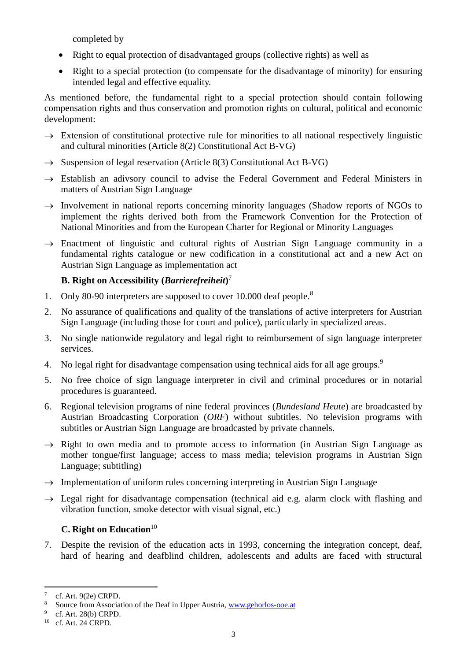completed by

- Right to equal protection of disadvantaged groups (collective rights) as well as
- Right to a special protection (to compensate for the disadvantage of minority) for ensuring intended legal and effective equality.

As mentioned before, the fundamental right to a special protection should contain following compensation rights and thus conservation and promotion rights on cultural, political and economic development:

- $\rightarrow$  Extension of constitutional protective rule for minorities to all national respectively linguistic and cultural minorities (Article 8(2) Constitutional Act B-VG)
- $\rightarrow$  Suspension of legal reservation (Article 8(3) Constitutional Act B-VG)
- $\rightarrow$  Establish an adivsory council to advise the Federal Government and Federal Ministers in matters of Austrian Sign Language
- $\rightarrow$  Involvement in national reports concerning minority languages (Shadow reports of NGOs to implement the rights derived both from the Framework Convention for the Protection of National Minorities and from the European Charter for Regional or Minority Languages
- $\rightarrow$  Enactment of linguistic and cultural rights of Austrian Sign Language community in a fundamental rights catalogue or new codification in a constitutional act and a new Act on Austrian Sign Language as implementation act

## **B. Right on Accessibility (***Barrierefreiheit***)** 7

- 1. Only 80-90 interpreters are supposed to cover 10.000 deaf people.<sup>8</sup>
- 2. No assurance of qualifications and quality of the translations of active interpreters for Austrian Sign Language (including those for court and police), particularly in specialized areas.
- 3. No single nationwide regulatory and legal right to reimbursement of sign language interpreter services.
- 4. No legal right for disadvantage compensation using technical aids for all age groups.<sup>9</sup>
- 5. No free choice of sign language interpreter in civil and criminal procedures or in notarial procedures is guaranteed.
- 6. Regional television programs of nine federal provinces (*Bundesland Heute*) are broadcasted by Austrian Broadcasting Corporation (*ORF*) without subtitles. No television programs with subtitles or Austrian Sign Language are broadcasted by private channels.
- $\rightarrow$  Right to own media and to promote access to information (in Austrian Sign Language as mother tongue/first language; access to mass media; television programs in Austrian Sign Language; subtitling)
- $\rightarrow$  Implementation of uniform rules concerning interpreting in Austrian Sign Language
- $\rightarrow$  Legal right for disadvantage compensation (technical aid e.g. alarm clock with flashing and vibration function, smoke detector with visual signal, etc.)

## **C. Right on Education**<sup>10</sup>

7. Despite the revision of the education acts in 1993, concerning the integration concept, deaf, hard of hearing and deafblind children, adolescents and adults are faced with structural

<u>.</u>

<sup>7</sup> cf. Art. 9(2e) CRPD.

<sup>8</sup> Source from Association of the Deaf in Upper Austria, [www.gehorlos-ooe.at](http://www.gehorlos-ooe.at/)

<sup>&</sup>lt;sup>9</sup> cf. Art. 28(b) CRPD.

<sup>10</sup> cf. Art. 24 CRPD.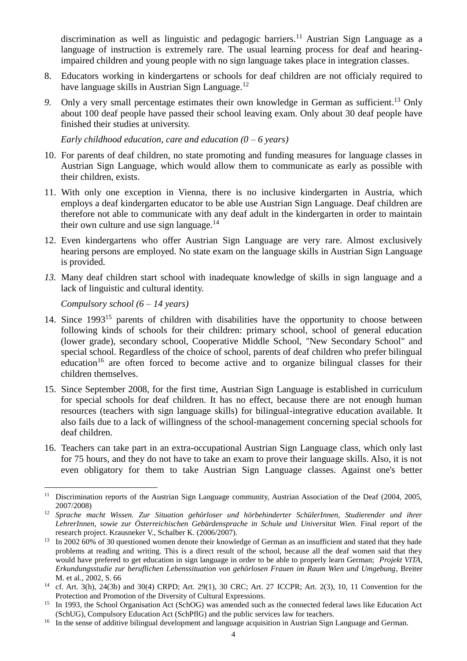discrimination as well as linguistic and pedagogic barriers.<sup>11</sup> Austrian Sign Language as a language of instruction is extremely rare. The usual learning process for deaf and hearingimpaired children and young people with no sign language takes place in integration classes.

- 8. Educators working in kindergartens or schools for deaf children are not officialy required to have language skills in Austrian Sign Language.<sup>12</sup>
- 9. Only a very small percentage estimates their own knowledge in German as sufficient.<sup>13</sup> Only about 100 deaf people have passed their school leaving exam. Only about 30 deaf people have finished their studies at university.

*Early childhood education, care and education (0 – 6 years)*

- 10. For parents of deaf children, no state promoting and funding measures for language classes in Austrian Sign Language, which would allow them to communicate as early as possible with their children, exists.
- 11. With only one exception in Vienna, there is no inclusive kindergarten in Austria, which employs a deaf kindergarten educator to be able use Austrian Sign Language. Deaf children are therefore not able to communicate with any deaf adult in the kindergarten in order to maintain their own culture and use sign language. $14$
- 12. Even kindergartens who offer Austrian Sign Language are very rare. Almost exclusively hearing persons are employed. No state exam on the language skills in Austrian Sign Language is provided.
- *13.* Many deaf children start school with inadequate knowledge of skills in sign language and a lack of linguistic and cultural identity.

*Compulsory school (6 – 14 years)*

1

- 14. Since 1993<sup>15</sup> parents of children with disabilities have the opportunity to choose between following kinds of schools for their children: primary school, school of general education (lower grade), secondary school, Cooperative Middle School, "New Secondary School" and special school. Regardless of the choice of school, parents of deaf children who prefer bilingual education<sup>16</sup> are often forced to become active and to organize bilingual classes for their children themselves.
- 15. Since September 2008, for the first time, Austrian Sign Language is established in curriculum for special schools for deaf children. It has no effect, because there are not enough human resources (teachers with sign language skills) for bilingual-integrative education available. It also fails due to a lack of willingness of the school-management concerning special schools for deaf children.
- 16. Teachers can take part in an extra-occupational Austrian Sign Language class, which only last for 75 hours, and they do not have to take an exam to prove their language skills. Also, it is not even obligatory for them to take Austrian Sign Language classes. Against one's better

<sup>&</sup>lt;sup>11</sup> Discrimination reports of the Austrian Sign Language community, Austrian Association of the Deaf (2004, 2005, 2007/2008)

<sup>12</sup> *Sprache macht Wissen. Zur Situation gehörloser und hörbehinderter SchülerInnen, Studierender und ihrer LehrerInnen, sowie zur Österreichischen Gebärdensprache in Schule und Universitat Wien.* Final report of the research project. Krausneker V., Schalber K. (2006/2007).

<sup>&</sup>lt;sup>13</sup> In 2002 60% of 30 questioned women denote their knowledge of German as an insufficient and stated that they hade problems at reading and writing. This is a direct result of the school, because all the deaf women said that they would have prefered to get education in sign language in order to be able to properly learn German; *Projekt VITA, Erkundungsstudie zur beruflichen Lebenssituation von gehörlosen Frauen im Raum Wien und Umgebung*, Breiter M. et al., 2002, S. 66

<sup>14</sup> cf. Art. 3(h), 24(3b) and 30(4) CRPD; Art. 29(1), 30 CRC; Art. 27 ICCPR; Art. 2(3), 10, 11 Convention for the Protection and Promotion of the Diversity of Cultural Expressions.

<sup>&</sup>lt;sup>15</sup> In 1993, the School Organisation Act (SchOG) was amended such as the connected federal laws like Education Act (SchUG), Compulsory Education Act (SchPflG) and the public services law for teachers.

<sup>&</sup>lt;sup>16</sup> In the sense of additive bilingual development and language acquisition in Austrian Sign Language and German.